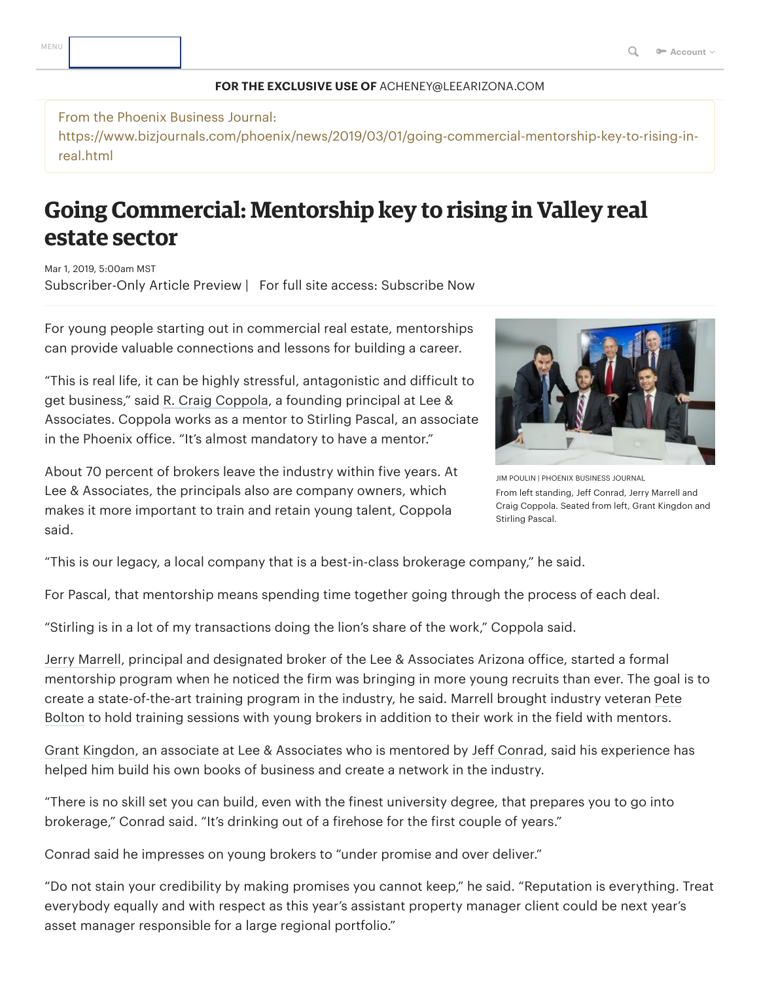## **FOR THE EXCLUSIVE USE OF** ACHENEY@LEEARIZONA.COM

From the Phoenix Business Journal: https://www.bizjournals.com/phoenix/news/2019/03/01/going-commercial-mentorship-key-to-rising-inreal.html

## **Going Commercial: Mentorship key to rising in Valley real estate sector**

Mar 1, 2019, 5:00am MST Subscriber-Only Article Preview | For full site access: [Subscribe](https://secure.bizjournals.com/subscribe/selectTerm?market=phoenix&csrc=6320&iana=cspat) Now

For young people starting out in commercial real estate, mentorships can provide valuable connections and lessons for building a career.

"This is real life, it can be highly stressful, antagonistic and difficult to get business," said R. [Craig Coppola](https://www.bizjournals.com/phoenix/search/results?q=R.%20Craig%20Coppola), a founding principal at Lee & Associates. Coppola works as a mentor to Stirling Pascal, an associate in the Phoenix office. "It's almost mandatory to have a mentor."

About 70 percent of brokers leave the industry within five years. At Lee & Associates, the principals also are company owners, which makes it more important to train and retain young talent, Coppola said.



JIM POULIN | PHOENIX BUSINESS JOURNAL From left standing, Jeff Conrad, Jerry Marrell and Craig Coppola. Seated from left, Grant Kingdon and Stirling Pascal.

"This is our legacy, a local company that is a best-in-class brokerage company," he said.

For Pascal, that mentorship means spending time together going through the process of each deal.

"Stirling is in a lot of my transactions doing the lion's share of the work," Coppola said.

Jerry [Marrell,](https://www.bizjournals.com/phoenix/search/results?q=Jerry%20Marrell) principal and designated broker of the Lee & Associates Arizona office, started a formal mentorship program when he noticed the firm was bringing in more young recruits than ever. The goal is to create a [state-of-the-art](https://www.bizjournals.com/phoenix/search/results?q=Pete%20Bolton) training program in the industry, he said. Marrell brought industry veteran Pete Bolton to hold training sessions with young brokers in addition to their work in the field with mentors.

Grant [Kingdon,](https://www.bizjournals.com/phoenix/search/results?q=Grant%20Kingdon) an associate at Lee & Associates who is mentored by Jeff [Conrad,](https://www.bizjournals.com/phoenix/search/results?q=Jeff%20Conrad) said his experience has helped him build his own books of business and create a network in the industry.

"There is no skill set you can build, even with the finest university degree, that prepares you to go into brokerage," Conrad said. "It's drinking out of a firehose for the first couple of years."

Conrad said he impresses on young brokers to "under promise and over deliver."

"Do not stain your credibility by making promises you cannot keep," he said. "Reputation is everything. Treat everybody equally and with respect as this year's assistant property manager client could be next year's asset manager responsible for a large regional portfolio."